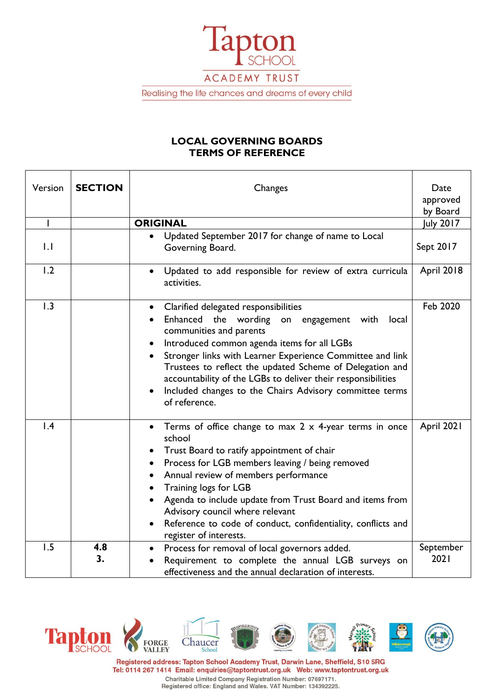

Realising the life chances and dreams of every child

# **LOCAL GOVERNING BOARDS TERMS OF REFERENCE**

| Version          | <b>SECTION</b> | Changes                                                                                                                                                                                                                                                                                                                                                                                                                                         | Date<br>approved<br>by Board |
|------------------|----------------|-------------------------------------------------------------------------------------------------------------------------------------------------------------------------------------------------------------------------------------------------------------------------------------------------------------------------------------------------------------------------------------------------------------------------------------------------|------------------------------|
|                  |                | <b>ORIGINAL</b>                                                                                                                                                                                                                                                                                                                                                                                                                                 | July 2017                    |
| $\overline{1}$ . |                | Updated September 2017 for change of name to Local<br>Governing Board.                                                                                                                                                                                                                                                                                                                                                                          | Sept 2017                    |
| 1.2              |                | Updated to add responsible for review of extra curricula<br>activities.                                                                                                                                                                                                                                                                                                                                                                         | <b>April 2018</b>            |
| 1.3              |                | • Clarified delegated responsibilities<br>Enhanced the wording<br>on engagement<br>with<br>local<br>communities and parents<br>Introduced common agenda items for all LGBs<br>Stronger links with Learner Experience Committee and link<br>Trustees to reflect the updated Scheme of Delegation and<br>accountability of the LGBs to deliver their responsibilities<br>Included changes to the Chairs Advisory committee terms<br>of reference. | Feb 2020                     |
| $\mathsf{I}$ .4  |                | Terms of office change to max $2 \times 4$ -year terms in once<br>school<br>Trust Board to ratify appointment of chair<br>Process for LGB members leaving / being removed<br>٠<br>Annual review of members performance<br>Training logs for LGB<br>Agenda to include update from Trust Board and items from<br>Advisory council where relevant<br>Reference to code of conduct, confidentiality, conflicts and<br>register of interests.        | April 2021                   |
| 1.5              | 4.8<br>3.      | Process for removal of local governors added.<br>$\bullet$<br>Requirement to complete the annual LGB surveys on<br>effectiveness and the annual declaration of interests.                                                                                                                                                                                                                                                                       | September<br>2021            |



Registered address: Tapton School Academy Trust, Darwin Lane, Sheffield, S10 5RG Tel: 0114 267 1414 Email: enquiries@taptontrust.org.uk Web: www.taptontrust.org.uk Charitable Limited Company Registration Number: 07697171.<br>Registered office: England and Wales. VAT Number: 134392225.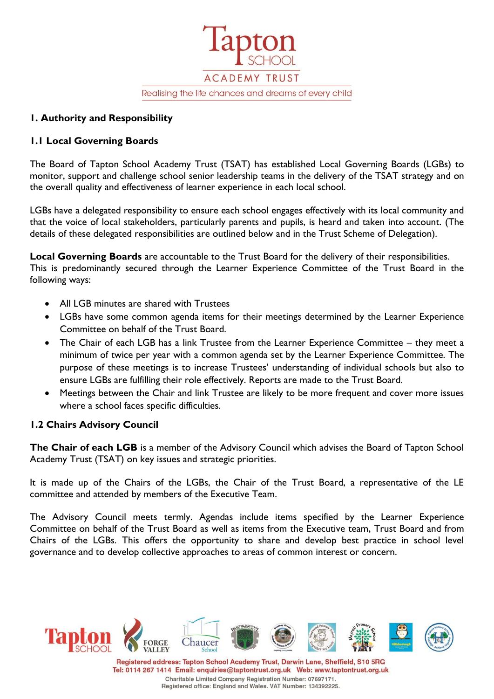

### **1. Authority and Responsibility**

# **1.1 Local Governing Boards**

The Board of Tapton School Academy Trust (TSAT) has established Local Governing Boards (LGBs) to monitor, support and challenge school senior leadership teams in the delivery of the TSAT strategy and on the overall quality and effectiveness of learner experience in each local school.

LGBs have a delegated responsibility to ensure each school engages effectively with its local community and that the voice of local stakeholders, particularly parents and pupils, is heard and taken into account. (The details of these delegated responsibilities are outlined below and in the Trust Scheme of Delegation).

**Local Governing Boards** are accountable to the Trust Board for the delivery of their responsibilities. This is predominantly secured through the Learner Experience Committee of the Trust Board in the following ways:

- All LGB minutes are shared with Trustees
- LGBs have some common agenda items for their meetings determined by the Learner Experience Committee on behalf of the Trust Board.
- The Chair of each LGB has a link Trustee from the Learner Experience Committee they meet a minimum of twice per year with a common agenda set by the Learner Experience Committee. The purpose of these meetings is to increase Trustees' understanding of individual schools but also to ensure LGBs are fulfilling their role effectively. Reports are made to the Trust Board.
- Meetings between the Chair and link Trustee are likely to be more frequent and cover more issues where a school faces specific difficulties.

#### **1.2 Chairs Advisory Council**

**The Chair of each LGB** is a member of the Advisory Council which advises the Board of Tapton School Academy Trust (TSAT) on key issues and strategic priorities.

It is made up of the Chairs of the LGBs, the Chair of the Trust Board, a representative of the LE committee and attended by members of the Executive Team.

The Advisory Council meets termly. Agendas include items specified by the Learner Experience Committee on behalf of the Trust Board as well as items from the Executive team, Trust Board and from Chairs of the LGBs. This offers the opportunity to share and develop best practice in school level governance and to develop collective approaches to areas of common interest or concern.



Registered address: Tapton School Academy Trust, Darwin Lane, Sheffield, S10 5RG Tel: 0114 267 1414 Email: enquiries@taptontrust.org.uk Web: www.taptontrust.org.uk Charitable Limited Company Registration Number: 07697171. Registered office: England and Wales. VAT Number: 134392225.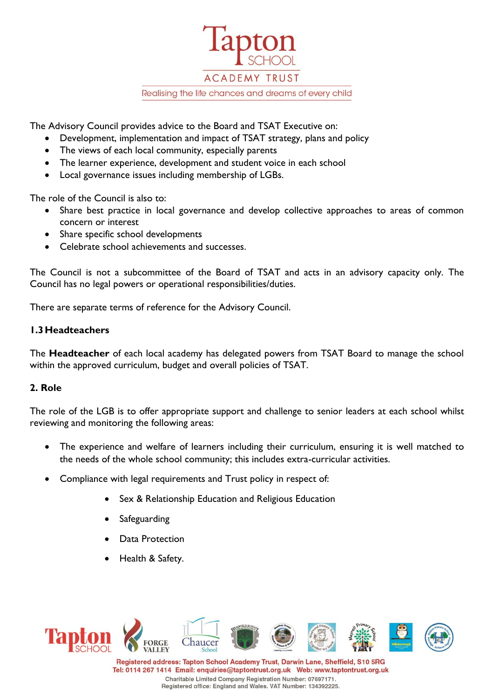

The Advisory Council provides advice to the Board and TSAT Executive on:

- Development, implementation and impact of TSAT strategy, plans and policy
- The views of each local community, especially parents
- The learner experience, development and student voice in each school
- Local governance issues including membership of LGBs.

The role of the Council is also to:

- Share best practice in local governance and develop collective approaches to areas of common concern or interest
- Share specific school developments
- Celebrate school achievements and successes.

The Council is not a subcommittee of the Board of TSAT and acts in an advisory capacity only. The Council has no legal powers or operational responsibilities/duties.

There are separate terms of reference for the Advisory Council.

#### **1.3Headteachers**

The **Headteacher** of each local academy has delegated powers from TSAT Board to manage the school within the approved curriculum, budget and overall policies of TSAT.

#### **2. Role**

The role of the LGB is to offer appropriate support and challenge to senior leaders at each school whilst reviewing and monitoring the following areas:

- The experience and welfare of learners including their curriculum, ensuring it is well matched to the needs of the whole school community; this includes extra-curricular activities.
- Compliance with legal requirements and Trust policy in respect of:
	- Sex & Relationship Education and Religious Education
	- **Safeguarding**
	- Data Protection
	- Health & Safety.



Registered address: Tapton School Academy Trust, Darwin Lane, Sheffield, S10 5RG Tel: 0114 267 1414 Email: enquiries@taptontrust.org.uk Web: www.taptontrust.org.uk Charitable Limited Company Registration Number: 07697171. Registered office: England and Wales. VAT Number: 134392225.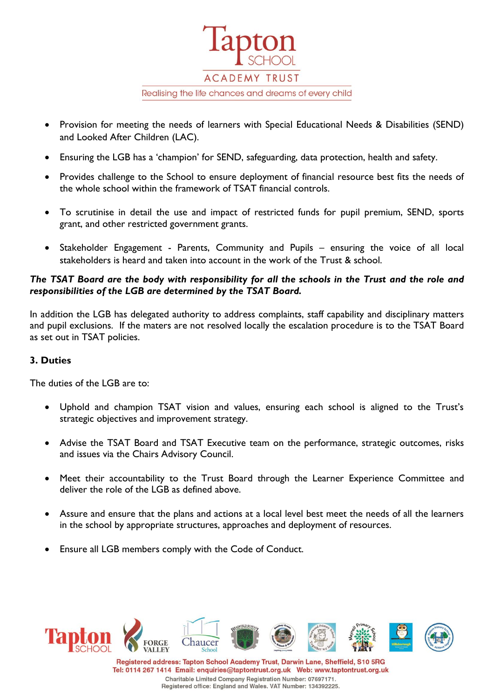

- Provision for meeting the needs of learners with Special Educational Needs & Disabilities (SEND) and Looked After Children (LAC).
- Ensuring the LGB has a 'champion' for SEND, safeguarding, data protection, health and safety.
- Provides challenge to the School to ensure deployment of financial resource best fits the needs of the whole school within the framework of TSAT financial controls.
- To scrutinise in detail the use and impact of restricted funds for pupil premium, SEND, sports grant, and other restricted government grants.
- Stakeholder Engagement Parents, Community and Pupils ensuring the voice of all local stakeholders is heard and taken into account in the work of the Trust & school.

### *The TSAT Board are the body with responsibility for all the schools in the Trust and the role and responsibilities of the LGB are determined by the TSAT Board.*

In addition the LGB has delegated authority to address complaints, staff capability and disciplinary matters and pupil exclusions. If the maters are not resolved locally the escalation procedure is to the TSAT Board as set out in TSAT policies.

# **3. Duties**

The duties of the LGB are to:

- Uphold and champion TSAT vision and values, ensuring each school is aligned to the Trust's strategic objectives and improvement strategy.
- Advise the TSAT Board and TSAT Executive team on the performance, strategic outcomes, risks and issues via the Chairs Advisory Council.
- Meet their accountability to the Trust Board through the Learner Experience Committee and deliver the role of the LGB as defined above.
- Assure and ensure that the plans and actions at a local level best meet the needs of all the learners in the school by appropriate structures, approaches and deployment of resources.
- Ensure all LGB members comply with the Code of Conduct.



Registered address: Tapton School Academy Trust, Darwin Lane, Sheffield, S10 5RG Tel: 0114 267 1414 Email: enquiries@taptontrust.org.uk Web: www.taptontrust.org.uk Charitable Limited Company Registration Number: 07697171. Registered office: England and Wales. VAT Number: 134392225.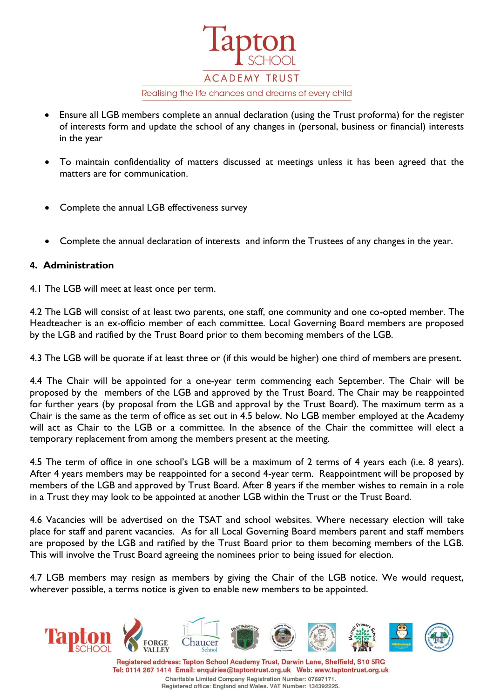**ACADEMY TRUST** Realising the life chances and dreams of every child

- Ensure all LGB members complete an annual declaration (using the Trust proforma) for the register of interests form and update the school of any changes in (personal, business or financial) interests in the year
- To maintain confidentiality of matters discussed at meetings unless it has been agreed that the matters are for communication.
- Complete the annual LGB effectiveness survey
- Complete the annual declaration of interests and inform the Trustees of any changes in the year.

## **4. Administration**

4.1 The LGB will meet at least once per term.

4.2 The LGB will consist of at least two parents, one staff, one community and one co-opted member. The Headteacher is an ex-officio member of each committee. Local Governing Board members are proposed by the LGB and ratified by the Trust Board prior to them becoming members of the LGB.

4.3 The LGB will be quorate if at least three or (if this would be higher) one third of members are present.

4.4 The Chair will be appointed for a one-year term commencing each September. The Chair will be proposed by the members of the LGB and approved by the Trust Board. The Chair may be reappointed for further years (by proposal from the LGB and approval by the Trust Board). The maximum term as a Chair is the same as the term of office as set out in 4.5 below. No LGB member employed at the Academy will act as Chair to the LGB or a committee. In the absence of the Chair the committee will elect a temporary replacement from among the members present at the meeting.

4.5 The term of office in one school's LGB will be a maximum of 2 terms of 4 years each (i.e. 8 years). After 4 years members may be reappointed for a second 4-year term. Reappointment will be proposed by members of the LGB and approved by Trust Board. After 8 years if the member wishes to remain in a role in a Trust they may look to be appointed at another LGB within the Trust or the Trust Board.

4.6 Vacancies will be advertised on the TSAT and school websites. Where necessary election will take place for staff and parent vacancies. As for all Local Governing Board members parent and staff members are proposed by the LGB and ratified by the Trust Board prior to them becoming members of the LGB. This will involve the Trust Board agreeing the nominees prior to being issued for election.

4.7 LGB members may resign as members by giving the Chair of the LGB notice. We would request, wherever possible, a terms notice is given to enable new members to be appointed.



Registered office: England and Wales. VAT Number: 134392225.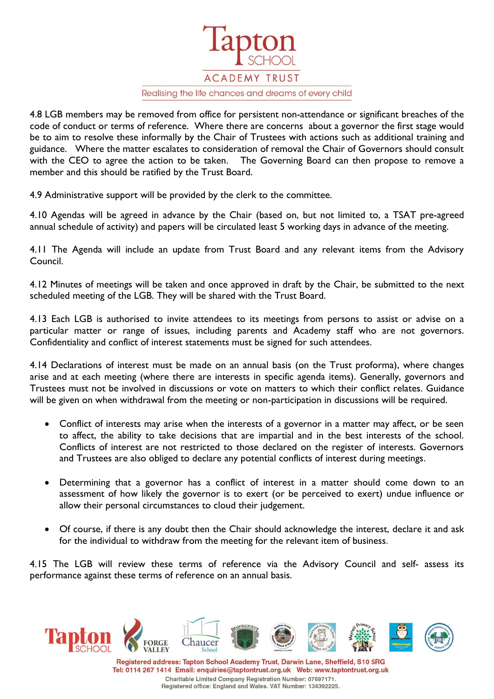**ACADEMY TRUST** 

Realising the life chances and dreams of every child

4.8 LGB members may be removed from office for persistent non-attendance or significant breaches of the code of conduct or terms of reference. Where there are concerns about a governor the first stage would be to aim to resolve these informally by the Chair of Trustees with actions such as additional training and guidance. Where the matter escalates to consideration of removal the Chair of Governors should consult with the CEO to agree the action to be taken. The Governing Board can then propose to remove a member and this should be ratified by the Trust Board.

4.9 Administrative support will be provided by the clerk to the committee.

4.10 Agendas will be agreed in advance by the Chair (based on, but not limited to, a TSAT pre-agreed annual schedule of activity) and papers will be circulated least 5 working days in advance of the meeting.

4.11 The Agenda will include an update from Trust Board and any relevant items from the Advisory Council.

4.12 Minutes of meetings will be taken and once approved in draft by the Chair, be submitted to the next scheduled meeting of the LGB. They will be shared with the Trust Board.

4.13 Each LGB is authorised to invite attendees to its meetings from persons to assist or advise on a particular matter or range of issues, including parents and Academy staff who are not governors. Confidentiality and conflict of interest statements must be signed for such attendees.

4.14 Declarations of interest must be made on an annual basis (on the Trust proforma), where changes arise and at each meeting (where there are interests in specific agenda items). Generally, governors and Trustees must not be involved in discussions or vote on matters to which their conflict relates. Guidance will be given on when withdrawal from the meeting or non-participation in discussions will be required.

- Conflict of interests may arise when the interests of a governor in a matter may affect, or be seen to affect, the ability to take decisions that are impartial and in the best interests of the school. Conflicts of interest are not restricted to those declared on the register of interests. Governors and Trustees are also obliged to declare any potential conflicts of interest during meetings.
- Determining that a governor has a conflict of interest in a matter should come down to an assessment of how likely the governor is to exert (or be perceived to exert) undue influence or allow their personal circumstances to cloud their judgement.
- Of course, if there is any doubt then the Chair should acknowledge the interest, declare it and ask for the individual to withdraw from the meeting for the relevant item of business.

4.15 The LGB will review these terms of reference via the Advisory Council and self- assess its performance against these terms of reference on an annual basis.



Charitable Limited Company Registration Number: 07697171. Registered office: England and Wales. VAT Number: 134392225.